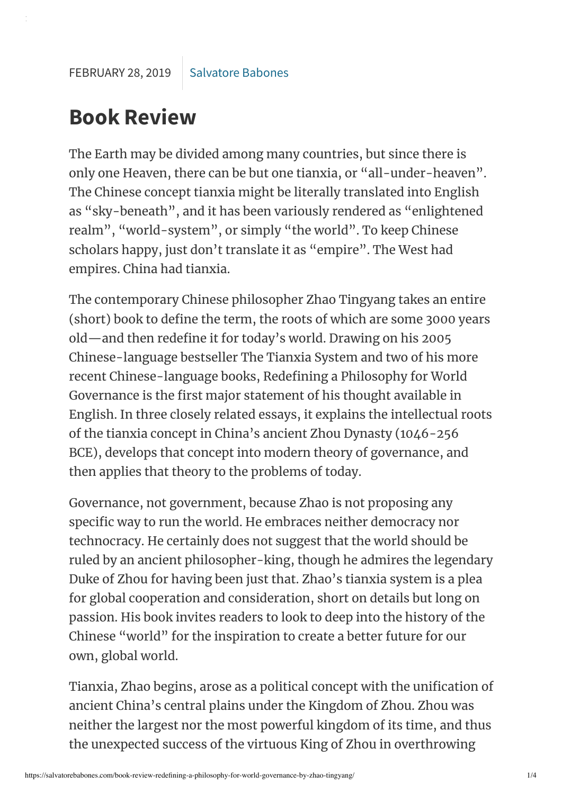## **Book Review**

The Earth may be divided among many countries, but since there is only one Heaven, there can be but one tianxia, or "all-under-heaven". The Chinese concept tianxia might be literally translated into English as "sky-beneath" , and it has been variously rendered as "enlightened realm", "world-system", or simply "the world". To keep Chinese scholars happy, just don't translate it as "empire". The West had empires. China had tianxia.

The contemporary Chinese philosopher Zhao Tingyang takes an entire (short) book to define the term, the roots of which are some 3000 years old—and then redefine it for today's world. Drawing on his 2005 Chinese-language bestseller The Tianxia System and two of his more recent Chinese-language books, Redefining a Philosophy for World Governance is the first major statement of his thought available in English. In three closely related essays, it explains the intellectual roots of the tianxia concept in China's ancient Zhou Dynasty (1046-256 BCE), develops that concept into modern theory of governance, and then applies that theory to the problems of today.

Governance, not government, because Zhao is not proposing any specific way to run the world. He embraces neither democracy nor technocracy. He certainly does not suggest that the world should be ruled by an ancient philosopher-king, though he admires the legendary Duke of Zhou for having been just that. Zhao's tianxia system is a plea for global cooperation and consideration, short on details but long on passion. His book invites readers to look to deep into the history of the Chinese "world" for the inspiration to create a better future for our own, global world.

Tianxia, Zhao begins, arose as a political concept with the unification of ancient China's central plains under the Kingdom of Zhou. Zhou was neither the largest nor the most powerful kingdom of its time, and thus the unexpected success of the virtuous King of Zhou in overthrowing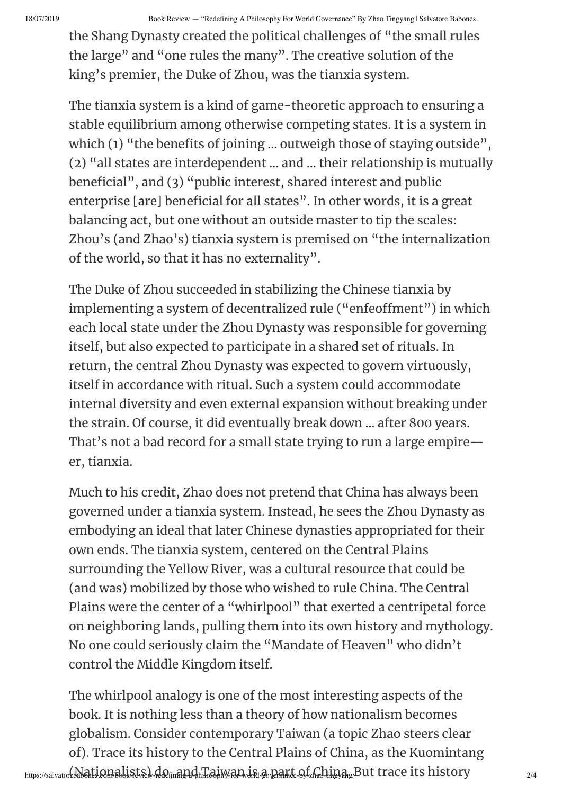18/07/2019 Book Review — "Redefining A Philosophy For World Governance" By Zhao Tingyang | Salvatore Babones

the Shang Dynasty created the political challenges of "the small rules the large" and "one rules the many". The creative solution of the king's premier, the Duke of Zhou, was the tianxia system.

The tianxia system is a kind of game-theoretic approach to ensuring a stable equilibrium among otherwise competing states. It is a system in which (1) "the benefits of joining … outweigh those of staying outside", (2) "all states are interdependent … and … their relationship is mutually beneficial", and (3) "public interest, shared interest and public enterprise [are] beneficial for all states". In other words, it is a great balancing act, but one without an outside master to tip the scales: Zhou's (and Zhao's) tianxia system is premised on "the internalization of the world, so that it has no externality".

The Duke of Zhou succeeded in stabilizing the Chinese tianxia by implementing a system of decentralized rule ("enfeoffment") in which each local state under the Zhou Dynasty was responsible for governing itself, but also expected to participate in a shared set of rituals. In return, the central Zhou Dynasty was expected to govern virtuously, itself in accordance with ritual. Such a system could accommodate internal diversity and even external expansion without breaking under the strain. Of course, it did eventually break down … after 800 years. That's not a bad record for a small state trying to run a large empire $$ er, tianxia.

Much to his credit, Zhao does not pretend that China has always been governed under a tianxia system. Instead, he sees the Zhou Dynasty as embodying an ideal that later Chinese dynasties appropriated for their own ends. The tianxia system, centered on the Central Plains surrounding the Yellow River, was a cultural resource that could be (and was) mobilized by those who wished to rule China. The Central Plains were the center of a "whirlpool" that exerted a centripetal force on neighboring lands, pulling them into its own history and mythology. No one could seriously claim the "Mandate of Heaven" who didn't control the Middle Kingdom itself.

 $_{\rm https://salvator/blapolei. Qnps/lsftx.}$ d $_{\rm Qnn}$ and Taiwan is a part of Langaryan is  $D$ t trace its history  $_{\rm 2/4}$ The whirlpool analogy is one of the most interesting aspects of the book. It is nothing less than a theory of how nationalism becomes globalism. Consider contemporary Taiwan (a topic Zhao steers clear of). Trace its history to the Central Plains of China, as the Kuomintang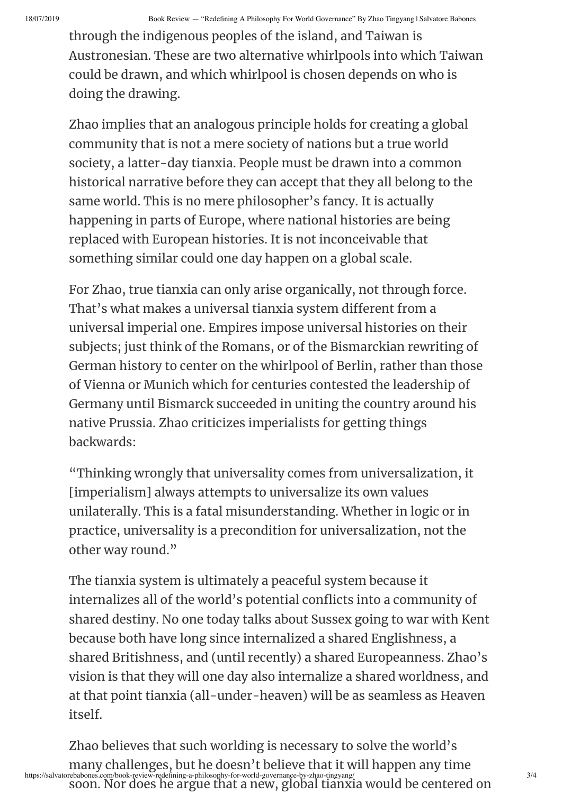through the indigenous peoples of the island, and Taiwan is Austronesian. These are two alternative whirlpools into which Taiwan could be drawn, and which whirlpool is chosen depends on who is doing the drawing.

Zhao implies that an analogous principle holds for creating a global community that is not a mere society of nations but a true world society, a latter-day tianxia. People must be drawn into a common historical narrative before they can accept that they all belong to the same world. This is no mere philosopher's fancy. It is actually happening in parts of Europe, where national histories are being replaced with European histories. It is not inconceivable that something similar could one day happen on a global scale.

For Zhao, true tianxia can only arise organically, not through force. That's what makes a universal tianxia system different from a universal imperial one. Empires impose universal histories on their subjects; just think of the Romans, or of the Bismarckian rewriting of German history to center on the whirlpool of Berlin, rather than those of Vienna or Munich which for centuries contested the leadership of Germany until Bismarck succeeded in uniting the country around his native Prussia. Zhao criticizes imperialists for getting things backwards:

"Thinking wrongly that universality comes from universalization, it [imperialism] always attempts to universalize its own values unilaterally. This is a fatal misunderstanding. Whether in logic or in practice, universality is a precondition for universalization, not the other way round."

The tianxia system is ultimately a peaceful system because it internalizes all of the world's potential conflicts into a community of shared destiny. No one today talks about Sussex going to war with Kent because both have long since internalized a shared Englishness, a shared Britishness, and (until recently) a shared Europeanness. Zhao's vision is that they will one day also internalize a shared worldness, and at that point tianxia (all-under-heaven) will be as seamless as Heaven itself.

https://salvatorebabones.com/book-review-redefining-a-philosophy-for-world-governance-by-zhao-tingyang/ 3/4 Zhao believes that such worlding is necessary to solve the world's many challenges, but he doesn't believe that it will happen any time soon. Nor does he argue that a new, global tianxia would be centered on